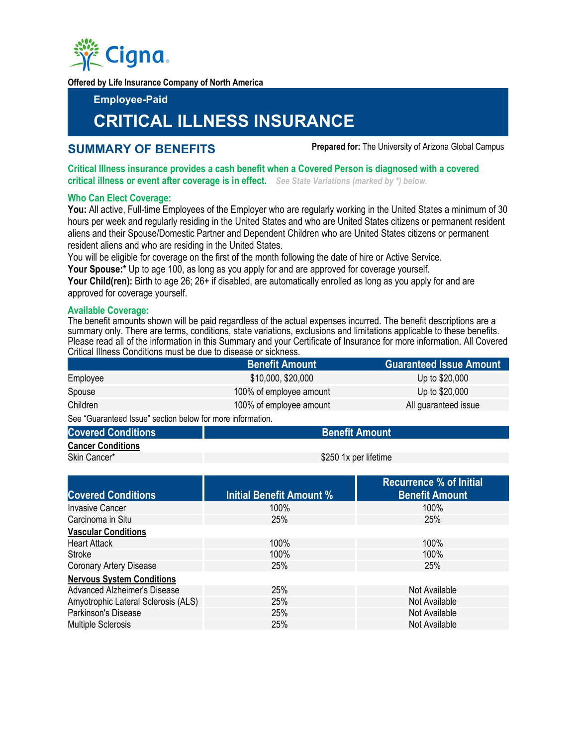

**Offered by Life Insurance Company of North America** 

**Employee-Paid** 

# **CRITICAL ILLNESS INSURANCE**

**SUMMARY OF BENEFITS Prepared for:** The University of Arizona Global Campus

**Critical Illness insurance provides a cash benefit when a Covered Person is diagnosed with a covered critical illness or event after coverage is in effect.** *See State Variations (marked by \*) below.*

## **Who Can Elect Coverage:**

**You:** All active, Full-time Employees of the Employer who are regularly working in the United States a minimum of 30 hours per week and regularly residing in the United States and who are United States citizens or permanent resident aliens and their Spouse/Domestic Partner and Dependent Children who are United States citizens or permanent resident aliens and who are residing in the United States.

You will be eligible for coverage on the first of the month following the date of hire or Active Service.

Your Spouse:\* Up to age 100, as long as you apply for and are approved for coverage yourself.

Your Child(ren): Birth to age 26; 26+ if disabled, are automatically enrolled as long as you apply for and are approved for coverage yourself.

# **Available Coverage:**

The benefit amounts shown will be paid regardless of the actual expenses incurred. The benefit descriptions are a summary only. There are terms, conditions, state variations, exclusions and limitations applicable to these benefits. Please read all of the information in this Summary and your Certificate of Insurance for more information. All Covered Critical Illness Conditions must be due to disease or sickness.

|                                                            | <b>Benefit Amount</b>   | <b>Guaranteed Issue Amount</b> |
|------------------------------------------------------------|-------------------------|--------------------------------|
| Employee                                                   | \$10,000, \$20,000      | Up to \$20,000                 |
| Spouse                                                     | 100% of employee amount | Up to \$20,000                 |
| Children                                                   | 100% of employee amount | All guaranteed issue           |
| See "Guaranteed Issue" section below for more information. |                         |                                |

See "Guaranteed Issue" section below for more information.

- **Covered Conditions Amount Amount Amount Amount Amount Amount Amount Amount Amount Amount Amount Amount Amount**
- **Cancer Conditions**

Skin Cancer\* **\$250 1x per lifetime** 

|                                     |                                 | <b>Recurrence % of Initial</b> |
|-------------------------------------|---------------------------------|--------------------------------|
| <b>Covered Conditions</b>           | <b>Initial Benefit Amount %</b> | <b>Benefit Amount</b>          |
| <b>Invasive Cancer</b>              | $100\%$                         | 100%                           |
| Carcinoma in Situ                   | 25%                             | 25%                            |
| <b>Vascular Conditions</b>          |                                 |                                |
| <b>Heart Attack</b>                 | 100%                            | 100%                           |
| Stroke                              | 100%                            | 100%                           |
| <b>Coronary Artery Disease</b>      | 25%                             | 25%                            |
| <b>Nervous System Conditions</b>    |                                 |                                |
| <b>Advanced Alzheimer's Disease</b> | 25%                             | Not Available                  |
| Amyotrophic Lateral Sclerosis (ALS) | 25%                             | Not Available                  |
| <b>Parkinson's Disease</b>          | 25%                             | Not Available                  |
| <b>Multiple Sclerosis</b>           | 25%                             | Not Available                  |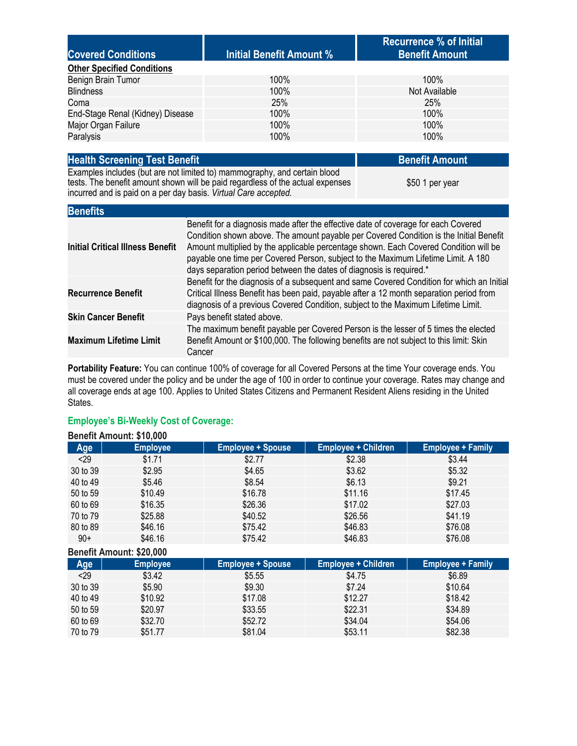| <b>Covered Conditions</b>         | Initial Benefit Amount % | <b>Recurrence % of Initial</b><br><b>Benefit Amount</b> |
|-----------------------------------|--------------------------|---------------------------------------------------------|
| <b>Other Specified Conditions</b> |                          |                                                         |
| Benign Brain Tumor                | $100\%$                  | 100%                                                    |
| <b>Blindness</b>                  | 100%                     | Not Available                                           |
| Coma                              | 25%                      | <b>25%</b>                                              |
| End-Stage Renal (Kidney) Disease  | 100%                     | 100%                                                    |
| Major Organ Failure               | 100%                     | 100%                                                    |
| Paralysis                         | 100%                     | 100%                                                    |
|                                   |                          |                                                         |

| <b>Health Screening Test Benefit</b>                                                                                                                                                                                           | <b>Benefit Amount</b> |
|--------------------------------------------------------------------------------------------------------------------------------------------------------------------------------------------------------------------------------|-----------------------|
| Examples includes (but are not limited to) mammography, and certain blood<br>tests. The benefit amount shown will be paid regardless of the actual expenses<br>incurred and is paid on a per day basis. Virtual Care accepted. | \$50 1 per year       |

| Denents                                 |                                                                                                                                                                                                                                                                                                                                                                                                                                  |
|-----------------------------------------|----------------------------------------------------------------------------------------------------------------------------------------------------------------------------------------------------------------------------------------------------------------------------------------------------------------------------------------------------------------------------------------------------------------------------------|
| <b>Initial Critical Illness Benefit</b> | Benefit for a diagnosis made after the effective date of coverage for each Covered<br>Condition shown above. The amount payable per Covered Condition is the Initial Benefit<br>Amount multiplied by the applicable percentage shown. Each Covered Condition will be<br>payable one time per Covered Person, subject to the Maximum Lifetime Limit. A 180<br>days separation period between the dates of diagnosis is required.* |
| <b>Recurrence Benefit</b>               | Benefit for the diagnosis of a subsequent and same Covered Condition for which an Initial<br>Critical Illness Benefit has been paid, payable after a 12 month separation period from<br>diagnosis of a previous Covered Condition, subject to the Maximum Lifetime Limit.                                                                                                                                                        |
| <b>Skin Cancer Benefit</b>              | Pays benefit stated above.                                                                                                                                                                                                                                                                                                                                                                                                       |
| <b>Maximum Lifetime Limit</b>           | The maximum benefit payable per Covered Person is the lesser of 5 times the elected<br>Benefit Amount or \$100,000. The following benefits are not subject to this limit: Skin<br>Cancer                                                                                                                                                                                                                                         |

**Portability Feature:** You can continue 100% of coverage for all Covered Persons at the time Your coverage ends. You must be covered under the policy and be under the age of 100 in order to continue your coverage. Rates may change and all coverage ends at age 100. Applies to United States Citizens and Permanent Resident Aliens residing in the United States.

#### **Employee's Bi-Weekly Cost of Coverage: Benefit Amount: \$10,000**

**Benefits**

| <b>Benefit Amount: 310,000</b> |                 |                          |                            |                          |
|--------------------------------|-----------------|--------------------------|----------------------------|--------------------------|
| Age                            | <b>Employee</b> | <b>Employee + Spouse</b> | <b>Employee + Children</b> | <b>Employee + Family</b> |
| < 29                           | \$1.71          | \$2.77                   | \$2.38                     | \$3.44                   |
| 30 to 39                       | \$2.95          | \$4.65                   | \$3.62                     | \$5.32                   |
| 40 to 49                       | \$5.46          | \$8.54                   | \$6.13                     | \$9.21                   |
| 50 to 59                       | \$10.49         | \$16.78                  | \$11.16                    | \$17.45                  |
| 60 to 69                       | \$16.35         | \$26.36                  | \$17.02                    | \$27.03                  |
| 70 to 79                       | \$25.88         | \$40.52                  | \$26.56                    | \$41.19                  |
| 80 to 89                       | \$46.16         | \$75.42                  | \$46.83                    | \$76.08                  |
| $90+$                          | \$46.16         | \$75.42                  | \$46.83                    | \$76.08                  |
| Benefit Amount: \$20,000       |                 |                          |                            |                          |

| <b>Employee</b> | <b>Employee + Spouse</b> | <b>Employee + Children</b> | <b>Employee + Family</b> |
|-----------------|--------------------------|----------------------------|--------------------------|
| \$3.42          | \$5.55                   | \$4.75                     | \$6.89                   |
| \$5.90          | \$9.30                   | \$7.24                     | \$10.64                  |
| \$10.92         | \$17.08                  | \$12.27                    | \$18.42                  |
| \$20.97         | \$33.55                  | \$22.31                    | \$34.89                  |
| \$32.70         | \$52.72                  | \$34.04                    | \$54.06                  |
| \$51.77         | \$81.04                  | \$53.11                    | \$82.38                  |
|                 |                          |                            |                          |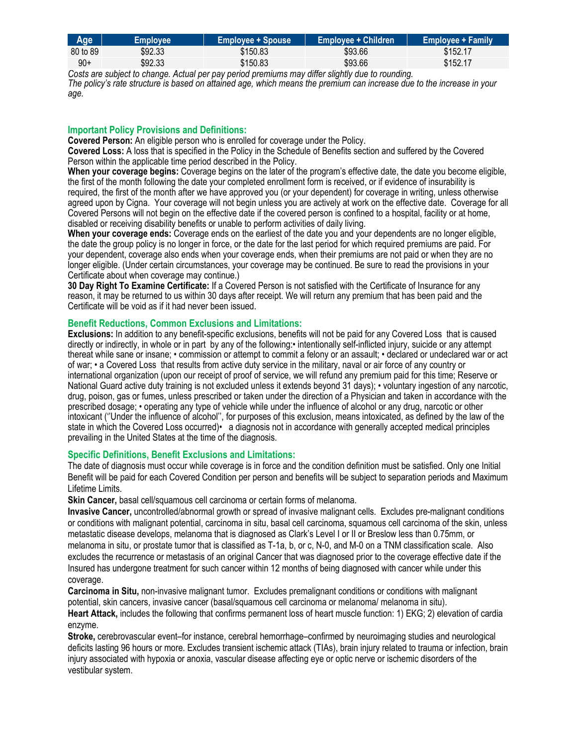| Age      | <b>Employee</b> | <b>Employee + Spouse</b> | <b>Employee + Children</b> | <b>Employee + Family</b> |
|----------|-----------------|--------------------------|----------------------------|--------------------------|
| 80 to 89 | \$92.33         | \$150.83                 | \$93.66                    | \$152.17                 |
| 90+      | \$92.33         | \$150.83                 | \$93.66                    | \$152.17                 |

Costs are subject to change. Actual per pay period premiums may differ slightly due to rounding.<br>The policy's rate structure is based on attained age, which means the premium can increase due to the increase in your *age.* 

# **Important Policy Provisions and Definitions:**

**Covered Person:** An eligible person who is enrolled for coverage under the Policy.

**Covered Loss:** A loss that is specified in the Policy in the Schedule of Benefits section and suffered by the Covered Person within the applicable time period described in the Policy.

**When your coverage begins:** Coverage begins on the later of the program's effective date, the date you become eligible, the first of the month following the date your completed enrollment form is received, or if evidence of insurability is required, the first of the month after we have approved you (or your dependent) for coverage in writing, unless otherwise agreed upon by Cigna. Your coverage will not begin unless you are actively at work on the effective date. Coverage for all Covered Persons will not begin on the effective date if the covered person is confined to a hospital, facility or at home, disabled or receiving disability benefits or unable to perform activities of daily living.

**When your coverage ends:** Coverage ends on the earliest of the date you and your dependents are no longer eligible, the date the group policy is no longer in force, or the date for the last period for which required premiums are paid. For your dependent, coverage also ends when your coverage ends, when their premiums are not paid or when they are no longer eligible. (Under certain circumstances, your coverage may be continued. Be sure to read the provisions in your Certificate about when coverage may continue.)

**30 Day Right To Examine Certificate:** If a Covered Person is not satisfied with the Certificate of Insurance for any reason, it may be returned to us within 30 days after receipt. We will return any premium that has been paid and the Certificate will be void as if it had never been issued.

## **Benefit Reductions, Common Exclusions and Limitations:**

**Exclusions:** In addition to any benefit-specific exclusions, benefits will not be paid for any Covered Loss that is caused directly or indirectly, in whole or in part by any of the following:• intentionally self-inflicted injury, suicide or any attempt thereat while sane or insane; • commission or attempt to commit a felony or an assault; • declared or undeclared war or act of war; • a Covered Loss that results from active duty service in the military, naval or air force of any country or international organization (upon our receipt of proof of service, we will refund any premium paid for this time; Reserve or National Guard active duty training is not excluded unless it extends beyond 31 days); • voluntary ingestion of any narcotic, drug, poison, gas or fumes, unless prescribed or taken under the direction of a Physician and taken in accordance with the prescribed dosage; • operating any type of vehicle while under the influence of alcohol or any drug, narcotic or other intoxicant (''Under the influence of alcohol'', for purposes of this exclusion, means intoxicated, as defined by the law of the state in which the Covered Loss occurred)• a diagnosis not in accordance with generally accepted medical principles prevailing in the United States at the time of the diagnosis.

# **Specific Definitions, Benefit Exclusions and Limitations:**

The date of diagnosis must occur while coverage is in force and the condition definition must be satisfied. Only one Initial Benefit will be paid for each Covered Condition per person and benefits will be subject to separation periods and Maximum Lifetime Limits.

**Skin Cancer,** basal cell/squamous cell carcinoma or certain forms of melanoma.

**Invasive Cancer,** uncontrolled/abnormal growth or spread of invasive malignant cells. Excludes pre-malignant conditions or conditions with malignant potential, carcinoma in situ, basal cell carcinoma, squamous cell carcinoma of the skin, unless metastatic disease develops, melanoma that is diagnosed as Clark's Level I or II or Breslow less than 0.75mm, or melanoma in situ, or prostate tumor that is classified as T-1a, b, or c, N-0, and M-0 on a TNM classification scale. Also excludes the recurrence or metastasis of an original Cancer that was diagnosed prior to the coverage effective date if the Insured has undergone treatment for such cancer within 12 months of being diagnosed with cancer while under this coverage.

**Carcinoma in Situ,** non-invasive malignant tumor. Excludes premalignant conditions or conditions with malignant potential, skin cancers, invasive cancer (basal/squamous cell carcinoma or melanoma/ melanoma in situ).

**Heart Attack,** includes the following that confirms permanent loss of heart muscle function: 1) EKG; 2) elevation of cardia enzyme.

**Stroke,** cerebrovascular event–for instance, cerebral hemorrhage–confirmed by neuroimaging studies and neurological deficits lasting 96 hours or more. Excludes transient ischemic attack (TIAs), brain injury related to trauma or infection, brain injury associated with hypoxia or anoxia, vascular disease affecting eye or optic nerve or ischemic disorders of the vestibular system.